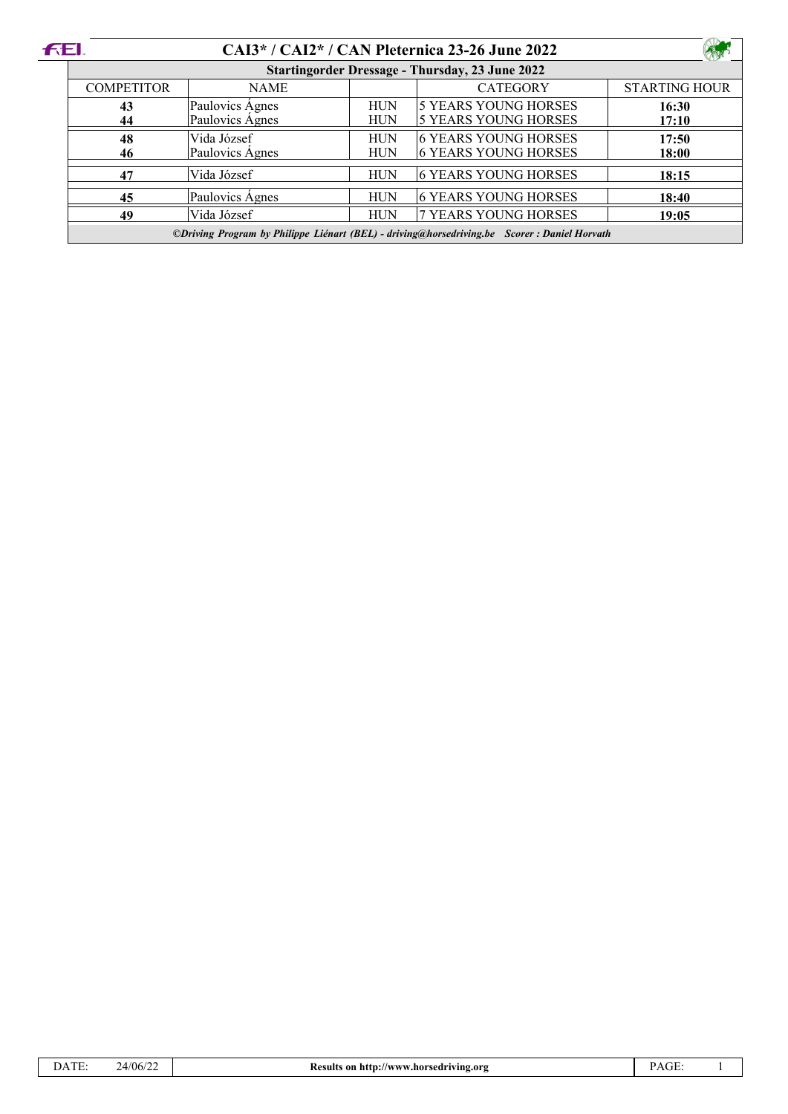| <b>FEL</b> |                                                                                             |                 |            | CAI3* / CAI2* / CAN Pleternica 23-26 June 2022 |                      |  |  |
|------------|---------------------------------------------------------------------------------------------|-----------------|------------|------------------------------------------------|----------------------|--|--|
|            | <b>Startingorder Dressage - Thursday, 23 June 2022</b>                                      |                 |            |                                                |                      |  |  |
|            | <b>COMPETITOR</b>                                                                           | <b>NAME</b>     |            | <b>CATEGORY</b>                                | <b>STARTING HOUR</b> |  |  |
|            | 43                                                                                          | Paulovics Ágnes | <b>HUN</b> | 5 YEARS YOUNG HORSES                           | 16:30                |  |  |
|            | 44                                                                                          | Paulovics Agnes | <b>HUN</b> | 5 YEARS YOUNG HORSES                           | 17:10                |  |  |
|            | 48                                                                                          | Vida József     | <b>HUN</b> | <b>6 YEARS YOUNG HORSES</b>                    | 17:50                |  |  |
|            | 46                                                                                          | Paulovics Ágnes | <b>HUN</b> | 6 YEARS YOUNG HORSES                           | 18:00                |  |  |
|            | 47                                                                                          | Vida József     | <b>HUN</b> | 6 YEARS YOUNG HORSES                           | 18:15                |  |  |
|            | 45                                                                                          | Paulovics Ágnes | <b>HUN</b> | 6 YEARS YOUNG HORSES                           | 18:40                |  |  |
|            | 49                                                                                          | Vida József     | <b>HUN</b> | 7 YEARS YOUNG HORSES                           | 19:05                |  |  |
|            | ©Driving Program by Philippe Liénart (BEL) - driving@horsedriving.be Scorer: Daniel Horvath |                 |            |                                                |                      |  |  |

| 24/06/2 |
|---------|
|         |